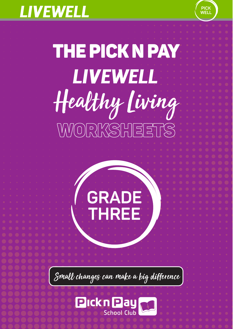# **LIVEWELL**



**PICK**<br>WELI



**GRADE** 

**THREE** 

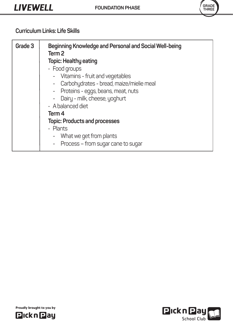

# **Curriculum Links: Life Skills**

| Grade 3 | Beginning Knowledge and Personal and Social Well-being<br>Term 2 |
|---------|------------------------------------------------------------------|
|         | <b>Topic: Healthy eating</b>                                     |
|         | $\cdot$ Food groups                                              |
|         | - Vitamins - fruit and vegetables                                |
|         | Carbohydrates - bread, maize/mielie meal                         |
|         | - Proteins - eggs, beans, meat, nuts                             |
|         | - Dairy - milk, cheese, yoghurt                                  |
|         | $\cdot$ A balanced diet                                          |
|         | Term 4                                                           |
|         | <b>Topic: Products and processes</b>                             |
|         | $\cdot$ Plants                                                   |
|         | What we get from plants<br>$\blacksquare$                        |
|         | Process – from sugar cane to sugar<br>$\overline{\phantom{a}}$   |





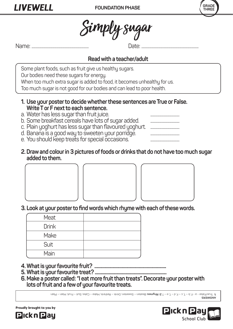**FOUNDATION PHASE**





Name: ............................................................... Date: ...............................................................

# **Read with a teacher/adult**

Some plant foods, such as fruit give us healthy sugars.

Our bodies need these sugars for energy.

When too much extra sugar is added to food, it becomes unhealthy for us.

Too much sugar is not good for our bodies and can lead to poor health.

- **1. Use your poster to decide whether these sentences are True or False. Write T or F next to each sentence.**
- a. Water has less sugar than fruit juice.
- b. Some breakfast cereals have lots of sugar added.
- c. Plain yoghurt has less sugar than flavoured yoghurt.
- d. Banana is a good way to sweeten your porridge.
- e. You should keep treats for special occasions.
- **2. Draw and colour in 3 pictures of foods or drinks that do not have too much sugar added to them.**





# **3. Look at your poster to find words which rhyme with each of these words.**

| Meat         |  |
|--------------|--|
| <b>Drink</b> |  |
| Make         |  |
| Suit         |  |
| Main         |  |

- **4. What is your favourite fruit? ...............................................................**
- **5. What is your favourite treat? ...............................................................**
- **6. Make a poster called: "I eat more fruit than treats". Decorate your poster with lots of fruit and a few of your favourite treats.**

**ANSWERS** Beaten; Drink; Drink; Drink; Drink; Drink; Beaten; Drink; Mahen; Drink; Plake – Sweeten; Drink; Make – Hink; Main – Hink; Main – Hink; Main – Hink; Main – Hink; Main – Hink; Mahen – Main – Hink; Mahen – Mink; Mahen – Main



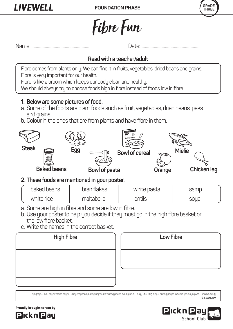



# **Read with a teacher/adult**

Fibre comes from plants only. We can find it in fruits, vegetables, dried beans and grains. Fibre is very important for our health.

Fibre is like a broom which keeps our body clean and healthy.

We should always try to choose foods high in fibre instead of foods low in fibre.

# **1. Below are some pictures of food.**

- a. Some of the foods are plant foods such as fruit, vegetables, dried beans, peas and grains.
- b. Colour in the ones that are from plants and have fibre in them.



# **2. These foods are mentioned in your poster.**

| baked beans | bran tlakes | white pasta     | samp |
|-------------|-------------|-----------------|------|
| white rice  | maltabella  | <b>TELLIUIS</b> | soya |

- a. Some are high in fibre and some are low in fibre.
- b. Use your poster to help you decide if they must go in the high fibre basket or the low fibre basket.
	- c. Write the names in the correct basket.

| <b>High Fibre</b> | <b>Low Fibre</b> |
|-------------------|------------------|
|                   |                  |
|                   |                  |
|                   |                  |
|                   |                  |
|                   |                  |
|                   |                  |

**ANSWERS** High fibre and whisted and white pasta pasta, bay thus **Co.** blackes, baked beans, and all deal of child and a sona pasta, white rice, maltabella sona of  $\mathbf{u}$  : **d** 



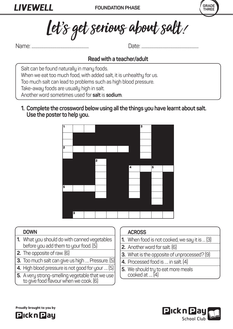

Let's get serious about salt!

#### **Read with a teacher/adult**

Salt can be found naturally in many foods.

When we eat too much food, with added salt, it is unhealthy for us.

Too much salt can lead to problems such as high blood pressure.

Take-away foods are usually high in salt.

Another word sometimes used for **salt** is **sodium**.

 **1. Complete the crossword below using all the things you have learnt about salt. Use the poster to help you.**



#### **DOWN**

- **1.** What you should do with canned vegetables before you add them to your food. (5)
- **2.** The opposite of raw. (6)
- **3.** Too much salt can give us high …. Pressure. (5)
- **4.** High blood pressure is not good for your …. (5)
- **5.** A very strong-smelling vegetable that we use to give food flavour when we cook. (6)

#### **ACROSS**

- **1.** When food is not cooked, we say it is … (3)
- **2.** Another word for salt. (6)
- **3.** What is the opposite of unprocessed? (9)
- **4.** Processed food is …. in salt. (4)
- **5.** We should try to eat more meals cooked at …. (4)





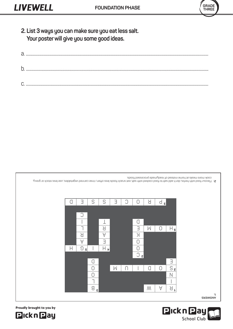

**Pickn Pay** 



**School Club** 

 **2. List 3 ways you can make sure you eat less salt. Your poster will give you some good ideas.**

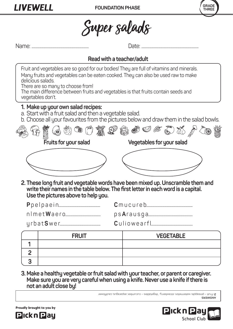



#### **Read with a teacher/adult**

Fruit and vegetables are so good for our bodies! They are full of vitamins and minerals. Many fruits and vegetables can be eaten cooked. They can also be used raw to make delicious salads.

There are so many to choose from!

 The main difference between fruits and vegetables is that fruits contain seeds and vegetables don't.

#### **1. Make up your own salad recipes:**

- a. Start with a fruit salad and then a vegetable salad.
- b. Choose all your favourites from the pictures below and draw them in the salad bowls.



 **2. These long fruit and vegetable words have been mixed up. Unscramble them and write their names in the table below. The first letter in each word is a capital. Use the pictures above to help you.**

| <b>FRUIT</b> | <b>VEGETABLE</b> |
|--------------|------------------|
|              |                  |
|              |                  |
|              |                  |

 **3. Make a healthy vegetable or fruit salad with your teacher, or parent or caregiver. Make sure you are very careful when using a knife. Never use a knife if there is not an adult close by!**

Fruit – pineapple, watermelon, strawberry. Vegetables – cucumber, asparagus, cauliflower **2:**

**ANSWERS**



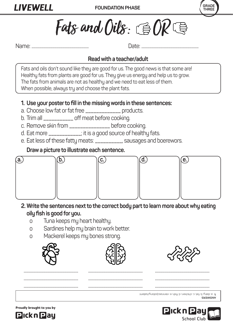

# Fats and Oils:  $\mathbb{G}OR \$

Name: ............................................................... Date: ...............................................................

# **Read with a teacher/adult**

Fats and oils don't sound like they are good for us. The good news is that some are! Healthy fats from plants are good for us. They give us energy and help us to grow. The fats from animals are not as healthy and we need to eat less of them. When possible, always try and choose the plant fats.

# **1. Use your poster to fill in the missing words in these sentences:**

- a. Choose low fat or fat free \_\_\_\_\_\_\_\_\_\_\_\_\_ products.
- b. Trim all \_\_\_\_\_\_\_\_\_\_\_ off meat before cooking.
- c. Remove skin from \_\_\_\_\_\_\_\_\_\_\_\_\_\_\_ before cooking.
- d. Eat more \_\_\_\_\_\_\_\_\_\_\_\_; it is a good source of healthy fats.
- e. Eat less of these fatty meats: \_\_\_\_\_\_\_\_\_\_, sausages and boerewors.

# **Draw a picture to illustrate each sentence.**



- **2. Write the sentences next to the correct body part to learn more about why eating oily fish is good for you.**
	- o Tuna keeps my heart healthy.
	- o Sardines help my brain to work better.
	- o Mackerel keeps my bones strong.





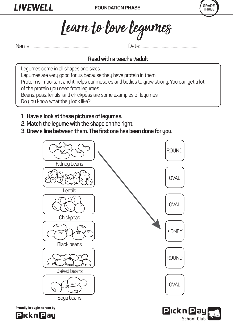

**School Club** 

Learn to love legumes

Name: ............................................................... Date: ...............................................................

### **Read with a teacher/adult**

Legumes come in all shapes and sizes.

Legumes are very good for us because they have protein in them.

 Protein is important and it helps our muscles and bodies to grow strong. You can get a lot of the protein you need from legumes.

Beans, peas, lentils, and chickpeas are some examples of legumes.

Do you know what they look like?

- **1. Have a look at these pictures of legumes.**
- **2. Match the legume with the shape on the right.**
- **3. Draw a line between them. The first one has been done for you.**



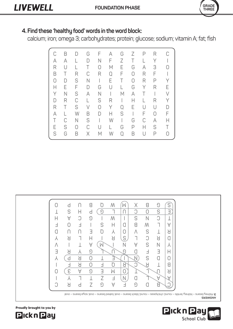

# **4. Find these 'healthy food' words in the word block:**

calcium; iron; omega 3; carbohydrates; protein; glucose; sodium; vitamin A; fat; fish







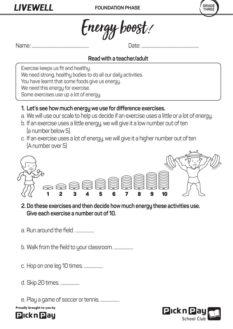



### **Read with a teacher/adult**

Exercise keeps us fit and healthy.

We need strong, healthy bodies to do all our daily activities.

You have learnt that some foods give us energy.

We need this energy for exercise.

Some exercises use up a lot of energy.

# **1. Let's see how much energy we use for difference exercises.**

- a. We will use our scale to help us decide if an exercise uses a little or a lot of energy.
- b. If an exercise uses a little energy, we will give it a low number out of ten (a number below 5).
- c. If an exercise uses a lot of energy, we will give it a higher number out of ten (A number over 5)



- **2. Do these exercises and then decide how much energy these activities use. Give each exercise a number out of 10.**
- a. Run around the field. .....................
- b. Walk from the field to your classroom. .....................
- c. Hop on one leg 10 times. .....................
- d. Skip 20 times. .......................

e. Play a game of soccer or tennis. .....................